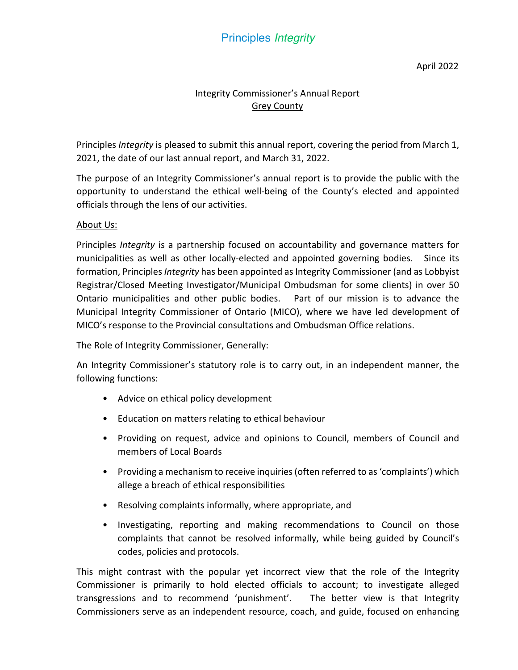April 2022

### Integrity Commissioner's Annual Report Grey County

Principles *Integrity* is pleased to submit this annual report, covering the period from March 1, 2021, the date of our last annual report, and March 31, 2022.

The purpose of an Integrity Commissioner's annual report is to provide the public with the opportunity to understand the ethical well-being of the County's elected and appointed officials through the lens of our activities.

### About Us:

Principles *Integrity* is a partnership focused on accountability and governance matters for municipalities as well as other locally-elected and appointed governing bodies. Since its formation, Principles *Integrity* has been appointed as Integrity Commissioner (and as Lobbyist Registrar/Closed Meeting Investigator/Municipal Ombudsman for some clients) in over 50 Ontario municipalities and other public bodies. Part of our mission is to advance the Municipal Integrity Commissioner of Ontario (MICO), where we have led development of MICO's response to the Provincial consultations and Ombudsman Office relations.

#### The Role of Integrity Commissioner, Generally:

An Integrity Commissioner's statutory role is to carry out, in an independent manner, the following functions:

- Advice on ethical policy development
- Education on matters relating to ethical behaviour
- Providing on request, advice and opinions to Council, members of Council and members of Local Boards
- Providing a mechanism to receive inquiries (often referred to as 'complaints') which allege a breach of ethical responsibilities
- Resolving complaints informally, where appropriate, and
- Investigating, reporting and making recommendations to Council on those complaints that cannot be resolved informally, while being guided by Council's codes, policies and protocols.

This might contrast with the popular yet incorrect view that the role of the Integrity Commissioner is primarily to hold elected officials to account; to investigate alleged transgressions and to recommend 'punishment'. The better view is that Integrity Commissioners serve as an independent resource, coach, and guide, focused on enhancing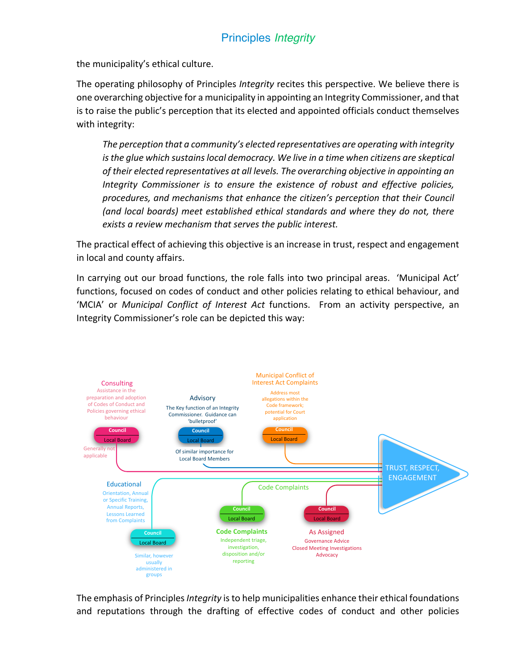the municipality's ethical culture.

The operating philosophy of Principles *Integrity* recites this perspective. We believe there is one overarching objective for a municipality in appointing an Integrity Commissioner, and that is to raise the public's perception that its elected and appointed officials conduct themselves with integrity:

*The perception that a community's elected representatives are operating with integrity is the glue which sustains local democracy. We live in a time when citizens are skeptical of their elected representatives at all levels. The overarching objective in appointing an Integrity Commissioner is to ensure the existence of robust and effective policies, procedures, and mechanisms that enhance the citizen's perception that their Council (and local boards) meet established ethical standards and where they do not, there exists a review mechanism that serves the public interest.* 

The practical effect of achieving this objective is an increase in trust, respect and engagement in local and county affairs.

In carrying out our broad functions, the role falls into two principal areas. 'Municipal Act' functions, focused on codes of conduct and other policies relating to ethical behaviour, and 'MCIA' or *Municipal Conflict of Interest Act* functions. From an activity perspective, an Integrity Commissioner's role can be depicted this way:



The emphasis of Principles *Integrity* is to help municipalities enhance their ethical foundations and reputations through the drafting of effective codes of conduct and other policies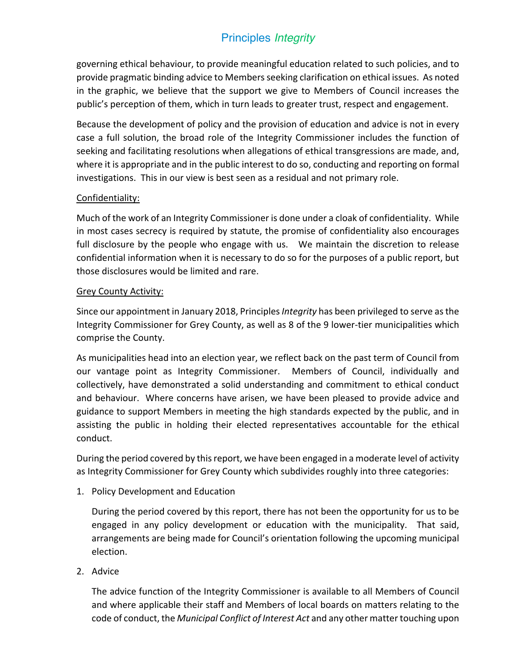governing ethical behaviour, to provide meaningful education related to such policies, and to provide pragmatic binding advice to Members seeking clarification on ethical issues. As noted in the graphic, we believe that the support we give to Members of Council increases the public's perception of them, which in turn leads to greater trust, respect and engagement.

Because the development of policy and the provision of education and advice is not in every case a full solution, the broad role of the Integrity Commissioner includes the function of seeking and facilitating resolutions when allegations of ethical transgressions are made, and, where it is appropriate and in the public interest to do so, conducting and reporting on formal investigations. This in our view is best seen as a residual and not primary role.

### Confidentiality:

Much of the work of an Integrity Commissioner is done under a cloak of confidentiality. While in most cases secrecy is required by statute, the promise of confidentiality also encourages full disclosure by the people who engage with us. We maintain the discretion to release confidential information when it is necessary to do so for the purposes of a public report, but those disclosures would be limited and rare.

### Grey County Activity:

Since our appointment in January 2018, Principles *Integrity* has been privileged to serve asthe Integrity Commissioner for Grey County, as well as 8 of the 9 lower-tier municipalities which comprise the County.

As municipalities head into an election year, we reflect back on the past term of Council from our vantage point as Integrity Commissioner. Members of Council, individually and collectively, have demonstrated a solid understanding and commitment to ethical conduct and behaviour. Where concerns have arisen, we have been pleased to provide advice and guidance to support Members in meeting the high standards expected by the public, and in assisting the public in holding their elected representatives accountable for the ethical conduct.

During the period covered by this report, we have been engaged in a moderate level of activity as Integrity Commissioner for Grey County which subdivides roughly into three categories:

1. Policy Development and Education

During the period covered by this report, there has not been the opportunity for us to be engaged in any policy development or education with the municipality. That said, arrangements are being made for Council's orientation following the upcoming municipal election.

2. Advice

The advice function of the Integrity Commissioner is available to all Members of Council and where applicable their staff and Members of local boards on matters relating to the code of conduct, the *Municipal Conflict of Interest Act* and any other matter touching upon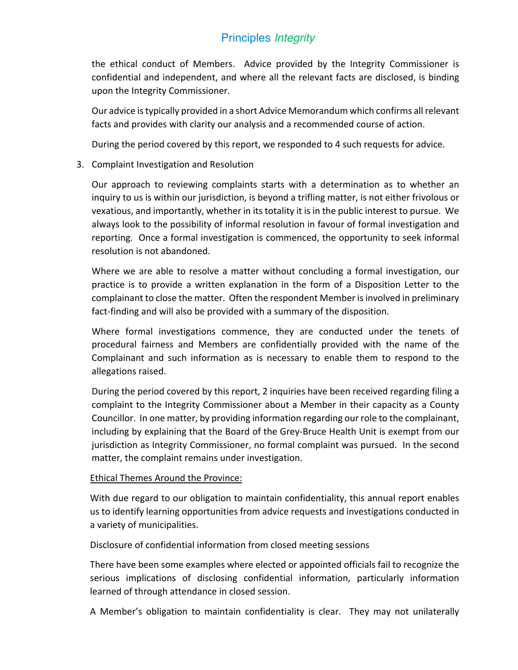the ethical conduct of Members. Advice provided by the Integrity Commissioner is confidential and independent, and where all the relevant facts are disclosed, is binding upon the Integrity Commissioner.

Our advice is typically provided in a short Advice Memorandum which confirms all relevant facts and provides with clarity our analysis and a recommended course of action.

During the period covered by this report, we responded to 4 such requests for advice.

3. Complaint Investigation and Resolution

Our approach to reviewing complaints starts with a determination as to whether an inquiry to us is within our jurisdiction, is beyond a trifling matter, is not either frivolous or vexatious, and importantly, whether in its totality it is in the public interest to pursue. We always look to the possibility of informal resolution in favour of formal investigation and reporting. Once a formal investigation is commenced, the opportunity to seek informal resolution is not abandoned.

Where we are able to resolve a matter without concluding a formal investigation, our practice is to provide a written explanation in the form of a Disposition Letter to the complainant to close the matter. Often the respondent Member is involved in preliminary fact-finding and will also be provided with a summary of the disposition.

Where formal investigations commence, they are conducted under the tenets of procedural fairness and Members are confidentially provided with the name of the Complainant and such information as is necessary to enable them to respond to the allegations raised.

During the period covered by this report, 2 inquiries have been received regarding filing a complaint to the Integrity Commissioner about a Member in their capacity as a County Councillor. In one matter, by providing information regarding our role to the complainant, including by explaining that the Board of the Grey-Bruce Health Unit is exempt from our jurisdiction as Integrity Commissioner, no formal complaint was pursued. In the second matter, the complaint remains under investigation.

#### Ethical Themes Around the Province:

With due regard to our obligation to maintain confidentiality, this annual report enables us to identify learning opportunities from advice requests and investigations conducted in a variety of municipalities.

Disclosure of confidential information from closed meeting sessions

There have been some examples where elected or appointed officials fail to recognize the serious implications of disclosing confidential information, particularly information learned of through attendance in closed session.

A Member's obligation to maintain confidentiality is clear. They may not unilaterally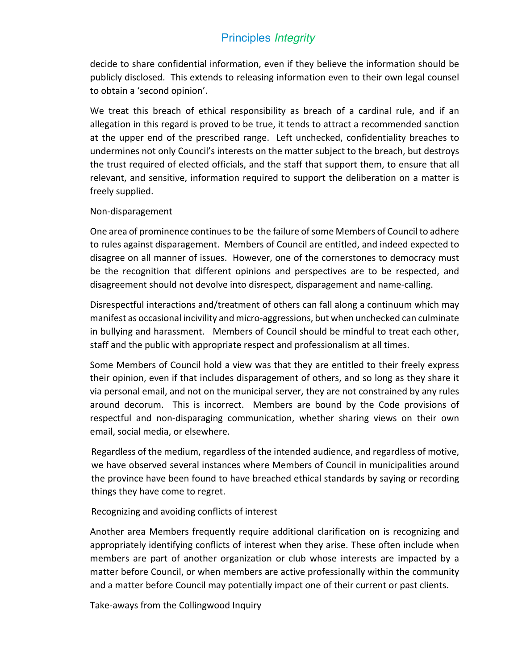decide to share confidential information, even if they believe the information should be publicly disclosed. This extends to releasing information even to their own legal counsel to obtain a 'second opinion'.

We treat this breach of ethical responsibility as breach of a cardinal rule, and if an allegation in this regard is proved to be true, it tends to attract a recommended sanction at the upper end of the prescribed range. Left unchecked, confidentiality breaches to undermines not only Council's interests on the matter subject to the breach, but destroys the trust required of elected officials, and the staff that support them, to ensure that all relevant, and sensitive, information required to support the deliberation on a matter is freely supplied.

#### Non-disparagement

One area of prominence continues to be the failure of some Members of Council to adhere to rules against disparagement. Members of Council are entitled, and indeed expected to disagree on all manner of issues. However, one of the cornerstones to democracy must be the recognition that different opinions and perspectives are to be respected, and disagreement should not devolve into disrespect, disparagement and name-calling.

Disrespectful interactions and/treatment of others can fall along a continuum which may manifest as occasional incivility and micro-aggressions, but when unchecked can culminate in bullying and harassment. Members of Council should be mindful to treat each other, staff and the public with appropriate respect and professionalism at all times.

Some Members of Council hold a view was that they are entitled to their freely express their opinion, even if that includes disparagement of others, and so long as they share it via personal email, and not on the municipal server, they are not constrained by any rules around decorum. This is incorrect. Members are bound by the Code provisions of respectful and non-disparaging communication, whether sharing views on their own email, social media, or elsewhere.

Regardless of the medium, regardless of the intended audience, and regardless of motive, we have observed several instances where Members of Council in municipalities around the province have been found to have breached ethical standards by saying or recording things they have come to regret.

Recognizing and avoiding conflicts of interest

Another area Members frequently require additional clarification on is recognizing and appropriately identifying conflicts of interest when they arise. These often include when members are part of another organization or club whose interests are impacted by a matter before Council, or when members are active professionally within the community and a matter before Council may potentially impact one of their current or past clients.

Take-aways from the Collingwood Inquiry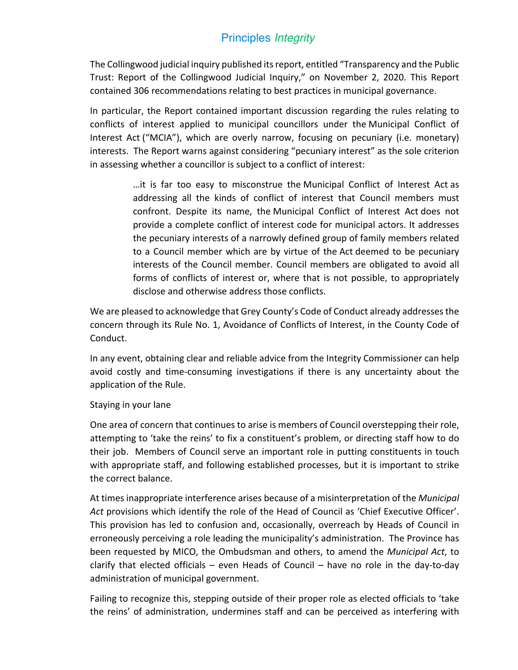The Collingwood judicial inquiry published its report, entitled "Transparency and the Public Trust: Report of the Collingwood Judicial Inquiry," on November 2, 2020. This Report contained 306 recommendations relating to best practices in municipal governance.

In particular, the Report contained important discussion regarding the rules relating to conflicts of interest applied to municipal councillors under the Municipal Conflict of Interest Act ("MCIA"), which are overly narrow, focusing on pecuniary (i.e. monetary) interests. The Report warns against considering "pecuniary interest" as the sole criterion in assessing whether a councillor is subject to a conflict of interest:

> …it is far too easy to misconstrue the Municipal Conflict of Interest Act as addressing all the kinds of conflict of interest that Council members must confront. Despite its name, the Municipal Conflict of Interest Act does not provide a complete conflict of interest code for municipal actors. It addresses the pecuniary interests of a narrowly defined group of family members related to a Council member which are by virtue of the Act deemed to be pecuniary interests of the Council member. Council members are obligated to avoid all forms of conflicts of interest or, where that is not possible, to appropriately disclose and otherwise address those conflicts.

We are pleased to acknowledge that Grey County's Code of Conduct already addresses the concern through its Rule No. 1, Avoidance of Conflicts of Interest, in the County Code of Conduct.

In any event, obtaining clear and reliable advice from the Integrity Commissioner can help avoid costly and time-consuming investigations if there is any uncertainty about the application of the Rule.

#### Staying in your lane

One area of concern that continues to arise is members of Council overstepping their role, attempting to 'take the reins' to fix a constituent's problem, or directing staff how to do their job. Members of Council serve an important role in putting constituents in touch with appropriate staff, and following established processes, but it is important to strike the correct balance.

At times inappropriate interference arises because of a misinterpretation of the *Municipal Act* provisions which identify the role of the Head of Council as 'Chief Executive Officer'. This provision has led to confusion and, occasionally, overreach by Heads of Council in erroneously perceiving a role leading the municipality's administration. The Province has been requested by MICO, the Ombudsman and others, to amend the *Municipal Act*, to clarify that elected officials – even Heads of Council – have no role in the day-to-day administration of municipal government.

Failing to recognize this, stepping outside of their proper role as elected officials to 'take the reins' of administration, undermines staff and can be perceived as interfering with